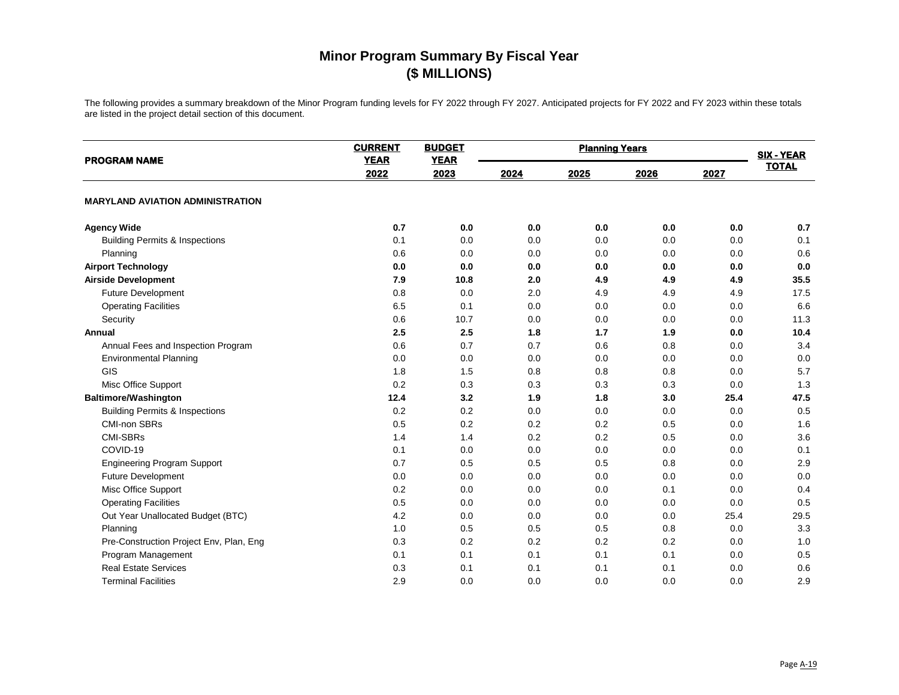| <b>PROGRAM NAME</b>                       | <b>CURRENT</b><br><b>YEAR</b> | <b>BUDGET</b><br><b>YEAR</b> |      | <b>SIX - YEAR</b> |      |      |              |
|-------------------------------------------|-------------------------------|------------------------------|------|-------------------|------|------|--------------|
|                                           | 2022                          | 2023                         | 2024 | 2025              | 2026 | 2027 | <b>TOTAL</b> |
| <b>MARYLAND AVIATION ADMINISTRATION</b>   |                               |                              |      |                   |      |      |              |
| <b>Agency Wide</b>                        | 0.7                           | 0.0                          | 0.0  | 0.0               | 0.0  | 0.0  | 0.7          |
| <b>Building Permits &amp; Inspections</b> | 0.1                           | 0.0                          | 0.0  | 0.0               | 0.0  | 0.0  | 0.1          |
| Planning                                  | 0.6                           | 0.0                          | 0.0  | 0.0               | 0.0  | 0.0  | 0.6          |
| <b>Airport Technology</b>                 | 0.0                           | 0.0                          | 0.0  | 0.0               | 0.0  | 0.0  | $0.0\,$      |
| <b>Airside Development</b>                | 7.9                           | 10.8                         | 2.0  | 4.9               | 4.9  | 4.9  | 35.5         |
| Future Development                        | 0.8                           | 0.0                          | 2.0  | 4.9               | 4.9  | 4.9  | 17.5         |
| <b>Operating Facilities</b>               | 6.5                           | 0.1                          | 0.0  | 0.0               | 0.0  | 0.0  | 6.6          |
| Security                                  | 0.6                           | 10.7                         | 0.0  | 0.0               | 0.0  | 0.0  | 11.3         |
| Annual                                    | 2.5                           | 2.5                          | 1.8  | 1.7               | 1.9  | 0.0  | 10.4         |
| Annual Fees and Inspection Program        | 0.6                           | 0.7                          | 0.7  | 0.6               | 0.8  | 0.0  | 3.4          |
| <b>Environmental Planning</b>             | 0.0                           | 0.0                          | 0.0  | 0.0               | 0.0  | 0.0  | 0.0          |
| GIS                                       | 1.8                           | 1.5                          | 0.8  | 0.8               | 0.8  | 0.0  | 5.7          |
| Misc Office Support                       | 0.2                           | 0.3                          | 0.3  | 0.3               | 0.3  | 0.0  | 1.3          |
| <b>Baltimore/Washington</b>               | 12.4                          | 3.2                          | 1.9  | 1.8               | 3.0  | 25.4 | 47.5         |
| <b>Building Permits &amp; Inspections</b> | 0.2                           | 0.2                          | 0.0  | 0.0               | 0.0  | 0.0  | 0.5          |
| <b>CMI-non SBRs</b>                       | 0.5                           | 0.2                          | 0.2  | 0.2               | 0.5  | 0.0  | 1.6          |
| <b>CMI-SBRs</b>                           | 1.4                           | 1.4                          | 0.2  | 0.2               | 0.5  | 0.0  | 3.6          |
| COVID-19                                  | 0.1                           | 0.0                          | 0.0  | 0.0               | 0.0  | 0.0  | 0.1          |
| <b>Engineering Program Support</b>        | 0.7                           | 0.5                          | 0.5  | 0.5               | 0.8  | 0.0  | 2.9          |
| <b>Future Development</b>                 | 0.0                           | 0.0                          | 0.0  | 0.0               | 0.0  | 0.0  | 0.0          |
| Misc Office Support                       | 0.2                           | 0.0                          | 0.0  | 0.0               | 0.1  | 0.0  | 0.4          |
| <b>Operating Facilities</b>               | 0.5                           | 0.0                          | 0.0  | 0.0               | 0.0  | 0.0  | 0.5          |
| Out Year Unallocated Budget (BTC)         | 4.2                           | 0.0                          | 0.0  | 0.0               | 0.0  | 25.4 | 29.5         |
| Planning                                  | 1.0                           | 0.5                          | 0.5  | 0.5               | 0.8  | 0.0  | 3.3          |
| Pre-Construction Project Env, Plan, Eng   | 0.3                           | 0.2                          | 0.2  | 0.2               | 0.2  | 0.0  | 1.0          |
| Program Management                        | 0.1                           | 0.1                          | 0.1  | 0.1               | 0.1  | 0.0  | 0.5          |
| <b>Real Estate Services</b>               | 0.3                           | 0.1                          | 0.1  | 0.1               | 0.1  | 0.0  | 0.6          |
| <b>Terminal Facilities</b>                | 2.9                           | 0.0                          | 0.0  | 0.0               | 0.0  | 0.0  | 2.9          |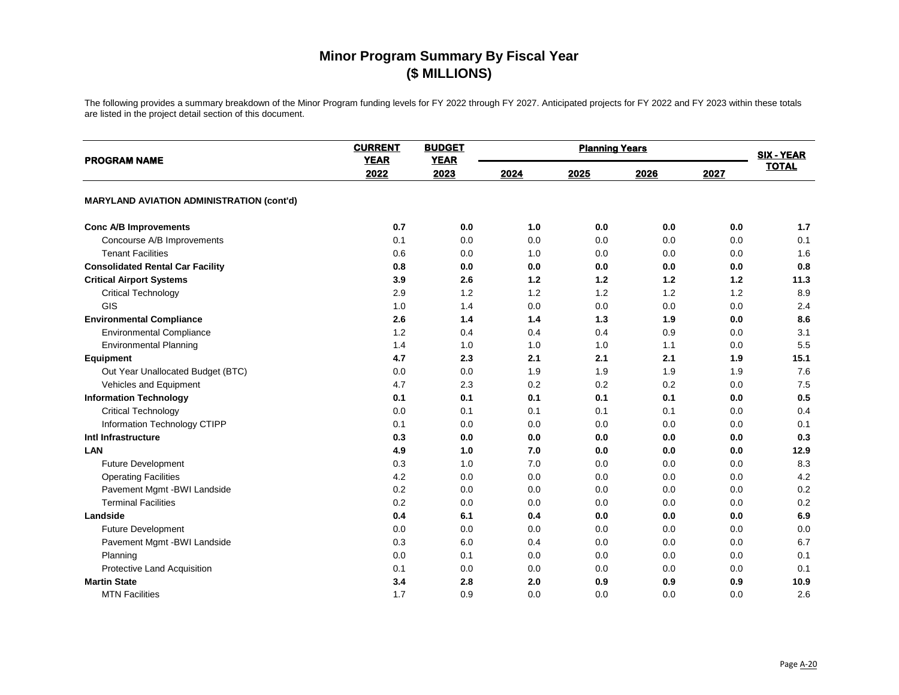| <b>PROGRAM NAME</b>                              | <b>CURRENT</b><br><b>YEAR</b> | <b>BUDGET</b><br><b>YEAR</b> | <b>Planning Years</b> |      |       |      | <b>SIX - YEAR</b> |
|--------------------------------------------------|-------------------------------|------------------------------|-----------------------|------|-------|------|-------------------|
|                                                  | 2022                          | 2023                         | 2024                  | 2025 | 2026  | 2027 | <b>TOTAL</b>      |
| <b>MARYLAND AVIATION ADMINISTRATION (cont'd)</b> |                               |                              |                       |      |       |      |                   |
| <b>Conc A/B Improvements</b>                     | 0.7                           | 0.0                          | 1.0                   | 0.0  | 0.0   | 0.0  | 1.7               |
| Concourse A/B Improvements                       | 0.1                           | 0.0                          | 0.0                   | 0.0  | 0.0   | 0.0  | 0.1               |
| <b>Tenant Facilities</b>                         | 0.6                           | 0.0                          | 1.0                   | 0.0  | 0.0   | 0.0  | 1.6               |
| <b>Consolidated Rental Car Facility</b>          | 0.8                           | 0.0                          | 0.0                   | 0.0  | 0.0   | 0.0  | 0.8               |
| <b>Critical Airport Systems</b>                  | 3.9                           | 2.6                          | 1.2                   | 1.2  | $1.2$ | 1.2  | 11.3              |
| <b>Critical Technology</b>                       | 2.9                           | 1.2                          | 1.2                   | 1.2  | 1.2   | 1.2  | 8.9               |
| GIS                                              | 1.0                           | 1.4                          | 0.0                   | 0.0  | 0.0   | 0.0  | 2.4               |
| <b>Environmental Compliance</b>                  | 2.6                           | 1.4                          | 1.4                   | 1.3  | 1.9   | 0.0  | 8.6               |
| <b>Environmental Compliance</b>                  | 1.2                           | 0.4                          | 0.4                   | 0.4  | 0.9   | 0.0  | 3.1               |
| <b>Environmental Planning</b>                    | 1.4                           | 1.0                          | 1.0                   | 1.0  | 1.1   | 0.0  | 5.5               |
| <b>Equipment</b>                                 | 4.7                           | 2.3                          | 2.1                   | 2.1  | 2.1   | 1.9  | 15.1              |
| Out Year Unallocated Budget (BTC)                | 0.0                           | 0.0                          | 1.9                   | 1.9  | 1.9   | 1.9  | 7.6               |
| Vehicles and Equipment                           | 4.7                           | 2.3                          | 0.2                   | 0.2  | 0.2   | 0.0  | 7.5               |
| <b>Information Technology</b>                    | 0.1                           | 0.1                          | 0.1                   | 0.1  | 0.1   | 0.0  | 0.5               |
| <b>Critical Technology</b>                       | 0.0                           | 0.1                          | 0.1                   | 0.1  | 0.1   | 0.0  | 0.4               |
| Information Technology CTIPP                     | 0.1                           | 0.0                          | 0.0                   | 0.0  | 0.0   | 0.0  | 0.1               |
| Intl Infrastructure                              | 0.3                           | 0.0                          | 0.0                   | 0.0  | 0.0   | 0.0  | 0.3               |
| LAN                                              | 4.9                           | 1.0                          | 7.0                   | 0.0  | 0.0   | 0.0  | 12.9              |
| <b>Future Development</b>                        | 0.3                           | 1.0                          | 7.0                   | 0.0  | 0.0   | 0.0  | 8.3               |
| <b>Operating Facilities</b>                      | 4.2                           | 0.0                          | 0.0                   | 0.0  | 0.0   | 0.0  | 4.2               |
| Pavement Mgmt -BWI Landside                      | 0.2                           | 0.0                          | 0.0                   | 0.0  | 0.0   | 0.0  | 0.2               |
| <b>Terminal Facilities</b>                       | 0.2                           | 0.0                          | 0.0                   | 0.0  | 0.0   | 0.0  | 0.2               |
| Landside                                         | 0.4                           | 6.1                          | 0.4                   | 0.0  | 0.0   | 0.0  | 6.9               |
| <b>Future Development</b>                        | 0.0                           | 0.0                          | 0.0                   | 0.0  | 0.0   | 0.0  | 0.0               |
| Pavement Mgmt -BWI Landside                      | 0.3                           | 6.0                          | 0.4                   | 0.0  | 0.0   | 0.0  | 6.7               |
| Planning                                         | 0.0                           | 0.1                          | 0.0                   | 0.0  | 0.0   | 0.0  | 0.1               |
| Protective Land Acquisition                      | 0.1                           | 0.0                          | 0.0                   | 0.0  | 0.0   | 0.0  | 0.1               |
| <b>Martin State</b>                              | 3.4                           | 2.8                          | 2.0                   | 0.9  | 0.9   | 0.9  | 10.9              |
| <b>MTN Facilities</b>                            | 1.7                           | 0.9                          | 0.0                   | 0.0  | 0.0   | 0.0  | 2.6               |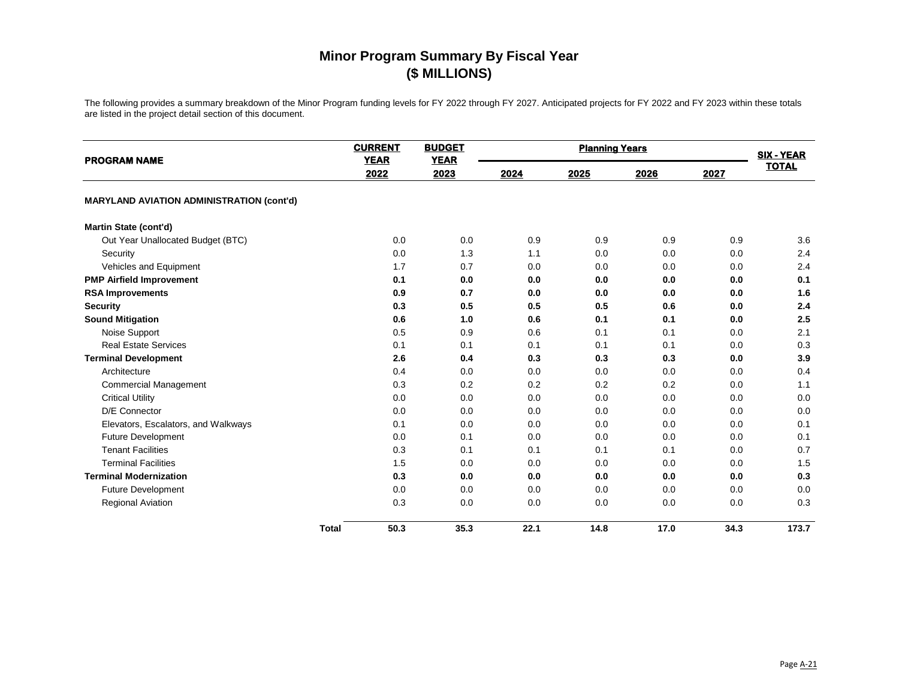| <b>PROGRAM NAME</b>                              | <b>CURRENT</b><br><b>YEAR</b> | <b>BUDGET</b><br><b>YEAR</b> |      | <b>Planning Years</b> |      |      | <b>SIX - YEAR</b> |
|--------------------------------------------------|-------------------------------|------------------------------|------|-----------------------|------|------|-------------------|
|                                                  | 2022                          | 2023                         | 2024 | 2025                  | 2026 | 2027 | <b>TOTAL</b>      |
| <b>MARYLAND AVIATION ADMINISTRATION (cont'd)</b> |                               |                              |      |                       |      |      |                   |
| Martin State (cont'd)                            |                               |                              |      |                       |      |      |                   |
| Out Year Unallocated Budget (BTC)                | 0.0                           | 0.0                          | 0.9  | 0.9                   | 0.9  | 0.9  | 3.6               |
| Security                                         | 0.0                           | 1.3                          | 1.1  | 0.0                   | 0.0  | 0.0  | 2.4               |
| Vehicles and Equipment                           | 1.7                           | 0.7                          | 0.0  | 0.0                   | 0.0  | 0.0  | 2.4               |
| <b>PMP Airfield Improvement</b>                  | 0.1                           | 0.0                          | 0.0  | 0.0                   | 0.0  | 0.0  | 0.1               |
| <b>RSA Improvements</b>                          | 0.9                           | 0.7                          | 0.0  | 0.0                   | 0.0  | 0.0  | 1.6               |
| <b>Security</b>                                  | 0.3                           | 0.5                          | 0.5  | 0.5                   | 0.6  | 0.0  | 2.4               |
| <b>Sound Mitigation</b>                          | 0.6                           | 1.0                          | 0.6  | 0.1                   | 0.1  | 0.0  | 2.5               |
| Noise Support                                    | 0.5                           | 0.9                          | 0.6  | 0.1                   | 0.1  | 0.0  | 2.1               |
| <b>Real Estate Services</b>                      | 0.1                           | 0.1                          | 0.1  | 0.1                   | 0.1  | 0.0  | 0.3               |
| <b>Terminal Development</b>                      | 2.6                           | 0.4                          | 0.3  | 0.3                   | 0.3  | 0.0  | 3.9               |
| Architecture                                     | 0.4                           | 0.0                          | 0.0  | 0.0                   | 0.0  | 0.0  | 0.4               |
| <b>Commercial Management</b>                     | 0.3                           | 0.2                          | 0.2  | 0.2                   | 0.2  | 0.0  | 1.1               |
| <b>Critical Utility</b>                          | 0.0                           | 0.0                          | 0.0  | 0.0                   | 0.0  | 0.0  | 0.0               |
| D/E Connector                                    | 0.0                           | 0.0                          | 0.0  | 0.0                   | 0.0  | 0.0  | 0.0               |
| Elevators, Escalators, and Walkways              | 0.1                           | 0.0                          | 0.0  | 0.0                   | 0.0  | 0.0  | 0.1               |
| <b>Future Development</b>                        | 0.0                           | 0.1                          | 0.0  | 0.0                   | 0.0  | 0.0  | 0.1               |
| <b>Tenant Facilities</b>                         | 0.3                           | 0.1                          | 0.1  | 0.1                   | 0.1  | 0.0  | 0.7               |
| <b>Terminal Facilities</b>                       | 1.5                           | 0.0                          | 0.0  | 0.0                   | 0.0  | 0.0  | 1.5               |
| <b>Terminal Modernization</b>                    | 0.3                           | 0.0                          | 0.0  | 0.0                   | 0.0  | 0.0  | 0.3               |
| <b>Future Development</b>                        | 0.0                           | 0.0                          | 0.0  | 0.0                   | 0.0  | 0.0  | 0.0               |
| <b>Regional Aviation</b>                         | 0.3                           | 0.0                          | 0.0  | 0.0                   | 0.0  | 0.0  | 0.3               |
|                                                  | 50.3<br><b>Total</b>          | 35.3                         | 22.1 | 14.8                  | 17.0 | 34.3 | 173.7             |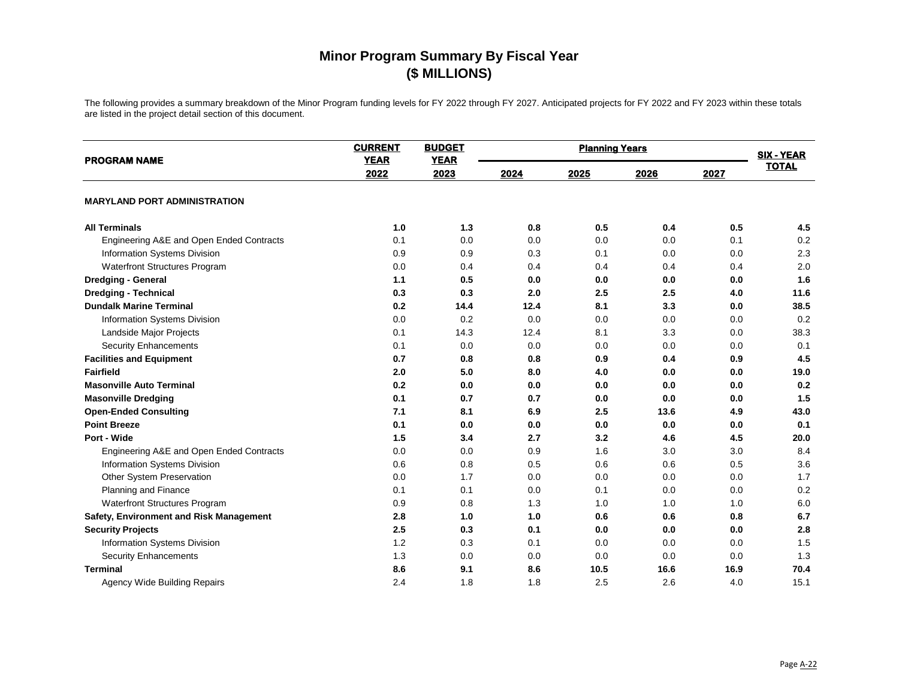| <b>PROGRAM NAME</b>                      | <b>CURRENT</b><br><b>YEAR</b> | <b>BUDGET</b><br><b>YEAR</b> | <b>Planning Years</b> |      |      |      | <b>SIX - YEAR</b> |
|------------------------------------------|-------------------------------|------------------------------|-----------------------|------|------|------|-------------------|
|                                          | 2022                          | 2023                         | 2024                  | 2025 | 2026 | 2027 | <b>TOTAL</b>      |
| <b>MARYLAND PORT ADMINISTRATION</b>      |                               |                              |                       |      |      |      |                   |
| <b>All Terminals</b>                     | 1.0                           | 1.3                          | 0.8                   | 0.5  | 0.4  | 0.5  | 4.5               |
| Engineering A&E and Open Ended Contracts | 0.1                           | 0.0                          | 0.0                   | 0.0  | 0.0  | 0.1  | 0.2               |
| Information Systems Division             | 0.9                           | 0.9                          | 0.3                   | 0.1  | 0.0  | 0.0  | 2.3               |
| Waterfront Structures Program            | 0.0                           | 0.4                          | 0.4                   | 0.4  | 0.4  | 0.4  | 2.0               |
| Dredging - General                       | 1.1                           | 0.5                          | 0.0                   | 0.0  | 0.0  | 0.0  | 1.6               |
| <b>Dredging - Technical</b>              | 0.3                           | 0.3                          | 2.0                   | 2.5  | 2.5  | 4.0  | 11.6              |
| <b>Dundalk Marine Terminal</b>           | 0.2                           | 14.4                         | 12.4                  | 8.1  | 3.3  | 0.0  | 38.5              |
| Information Systems Division             | 0.0                           | 0.2                          | 0.0                   | 0.0  | 0.0  | 0.0  | 0.2               |
| Landside Major Projects                  | 0.1                           | 14.3                         | 12.4                  | 8.1  | 3.3  | 0.0  | 38.3              |
| <b>Security Enhancements</b>             | 0.1                           | 0.0                          | 0.0                   | 0.0  | 0.0  | 0.0  | 0.1               |
| <b>Facilities and Equipment</b>          | 0.7                           | 0.8                          | 0.8                   | 0.9  | 0.4  | 0.9  | 4.5               |
| <b>Fairfield</b>                         | 2.0                           | 5.0                          | 8.0                   | 4.0  | 0.0  | 0.0  | 19.0              |
| <b>Masonville Auto Terminal</b>          | 0.2                           | 0.0                          | 0.0                   | 0.0  | 0.0  | 0.0  | 0.2               |
| <b>Masonville Dredging</b>               | 0.1                           | 0.7                          | 0.7                   | 0.0  | 0.0  | 0.0  | 1.5               |
| <b>Open-Ended Consulting</b>             | 7.1                           | 8.1                          | 6.9                   | 2.5  | 13.6 | 4.9  | 43.0              |
| <b>Point Breeze</b>                      | 0.1                           | 0.0                          | 0.0                   | 0.0  | 0.0  | 0.0  | 0.1               |
| Port - Wide                              | 1.5                           | 3.4                          | 2.7                   | 3.2  | 4.6  | 4.5  | 20.0              |
| Engineering A&E and Open Ended Contracts | 0.0                           | 0.0                          | 0.9                   | 1.6  | 3.0  | 3.0  | 8.4               |
| Information Systems Division             | 0.6                           | 0.8                          | 0.5                   | 0.6  | 0.6  | 0.5  | 3.6               |
| Other System Preservation                | 0.0                           | 1.7                          | 0.0                   | 0.0  | 0.0  | 0.0  | 1.7               |
| Planning and Finance                     | 0.1                           | 0.1                          | 0.0                   | 0.1  | 0.0  | 0.0  | 0.2               |
| Waterfront Structures Program            | 0.9                           | 0.8                          | 1.3                   | 1.0  | 1.0  | 1.0  | 6.0               |
| Safety, Environment and Risk Management  | 2.8                           | 1.0                          | 1.0                   | 0.6  | 0.6  | 0.8  | 6.7               |
| <b>Security Projects</b>                 | 2.5                           | 0.3                          | 0.1                   | 0.0  | 0.0  | 0.0  | 2.8               |
| Information Systems Division             | 1.2                           | 0.3                          | 0.1                   | 0.0  | 0.0  | 0.0  | 1.5               |
| <b>Security Enhancements</b>             | 1.3                           | 0.0                          | 0.0                   | 0.0  | 0.0  | 0.0  | 1.3               |
| <b>Terminal</b>                          | 8.6                           | 9.1                          | 8.6                   | 10.5 | 16.6 | 16.9 | 70.4              |
| Agency Wide Building Repairs             | 2.4                           | 1.8                          | 1.8                   | 2.5  | 2.6  | 4.0  | 15.1              |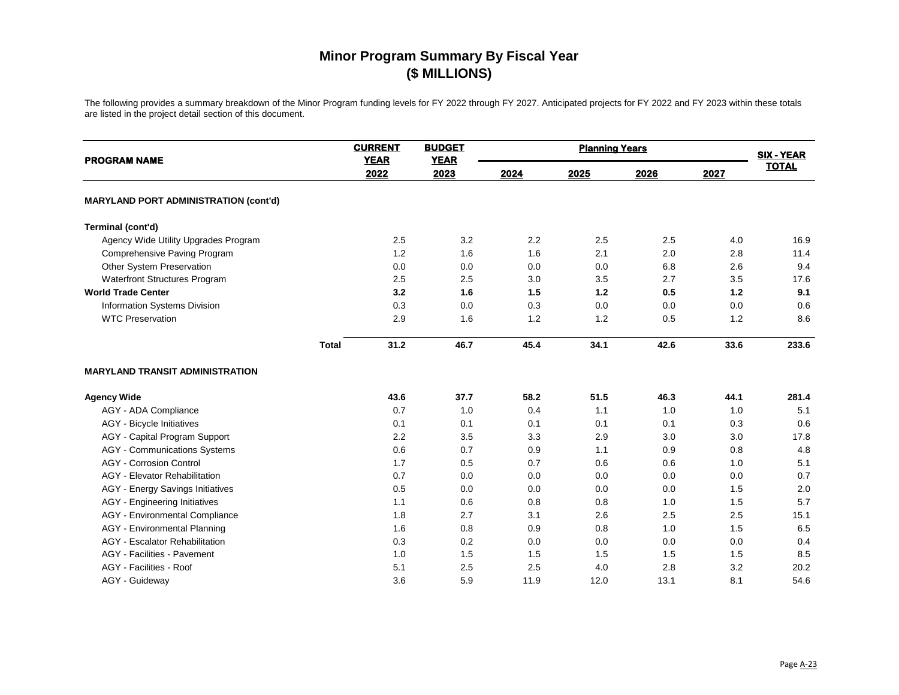| <b>PROGRAM NAME</b>                          | <b>CURRENT</b><br><b>YEAR</b> | <b>BUDGET</b><br><b>YEAR</b> | <b>Planning Years</b> |      |      |      | <b>SIX - YEAR</b> |
|----------------------------------------------|-------------------------------|------------------------------|-----------------------|------|------|------|-------------------|
|                                              | 2022                          | 2023                         | 2024                  | 2025 | 2026 | 2027 | <b>TOTAL</b>      |
| <b>MARYLAND PORT ADMINISTRATION (cont'd)</b> |                               |                              |                       |      |      |      |                   |
| Terminal (cont'd)                            |                               |                              |                       |      |      |      |                   |
| Agency Wide Utility Upgrades Program         | 2.5                           | 3.2                          | 2.2                   | 2.5  | 2.5  | 4.0  | 16.9              |
| Comprehensive Paving Program                 | 1.2                           | 1.6                          | 1.6                   | 2.1  | 2.0  | 2.8  | 11.4              |
| Other System Preservation                    | 0.0                           | 0.0                          | 0.0                   | 0.0  | 6.8  | 2.6  | 9.4               |
| Waterfront Structures Program                | 2.5                           | 2.5                          | 3.0                   | 3.5  | 2.7  | 3.5  | 17.6              |
| <b>World Trade Center</b>                    | 3.2                           | 1.6                          | 1.5                   | 1.2  | 0.5  | 1.2  | 9.1               |
| Information Systems Division                 | 0.3                           | 0.0                          | 0.3                   | 0.0  | 0.0  | 0.0  | 0.6               |
| <b>WTC Preservation</b>                      | 2.9                           | 1.6                          | 1.2                   | 1.2  | 0.5  | 1.2  | 8.6               |
| <b>Total</b>                                 | 31.2                          | 46.7                         | 45.4                  | 34.1 | 42.6 | 33.6 | 233.6             |
| <b>MARYLAND TRANSIT ADMINISTRATION</b>       |                               |                              |                       |      |      |      |                   |
| <b>Agency Wide</b>                           | 43.6                          | 37.7                         | 58.2                  | 51.5 | 46.3 | 44.1 | 281.4             |
| AGY - ADA Compliance                         | 0.7                           | 1.0                          | 0.4                   | 1.1  | 1.0  | 1.0  | 5.1               |
| <b>AGY</b> - Bicycle Initiatives             | 0.1                           | 0.1                          | 0.1                   | 0.1  | 0.1  | 0.3  | 0.6               |
| AGY - Capital Program Support                | 2.2                           | 3.5                          | 3.3                   | 2.9  | 3.0  | 3.0  | 17.8              |
| <b>AGY</b> - Communications Systems          | 0.6                           | 0.7                          | 0.9                   | 1.1  | 0.9  | 0.8  | 4.8               |
| <b>AGY</b> - Corrosion Control               | 1.7                           | 0.5                          | 0.7                   | 0.6  | 0.6  | 1.0  | 5.1               |
| AGY - Elevator Rehabilitation                | 0.7                           | 0.0                          | 0.0                   | 0.0  | 0.0  | 0.0  | 0.7               |
| <b>AGY</b> - Energy Savings Initiatives      | 0.5                           | 0.0                          | 0.0                   | 0.0  | 0.0  | 1.5  | 2.0               |
| <b>AGY</b> - Engineering Initiatives         | 1.1                           | 0.6                          | 0.8                   | 0.8  | 1.0  | 1.5  | 5.7               |
| AGY - Environmental Compliance               | 1.8                           | 2.7                          | 3.1                   | 2.6  | 2.5  | 2.5  | 15.1              |
| <b>AGY</b> - Environmental Planning          | 1.6                           | 0.8                          | 0.9                   | 0.8  | 1.0  | 1.5  | 6.5               |
| <b>AGY</b> - Escalator Rehabilitation        | 0.3                           | 0.2                          | 0.0                   | 0.0  | 0.0  | 0.0  | 0.4               |
| AGY - Facilities - Pavement                  | 1.0                           | 1.5                          | 1.5                   | 1.5  | 1.5  | 1.5  | 8.5               |
| AGY - Facilities - Roof                      | 5.1                           | 2.5                          | 2.5                   | 4.0  | 2.8  | 3.2  | 20.2              |
| AGY - Guideway                               | 3.6                           | 5.9                          | 11.9                  | 12.0 | 13.1 | 8.1  | 54.6              |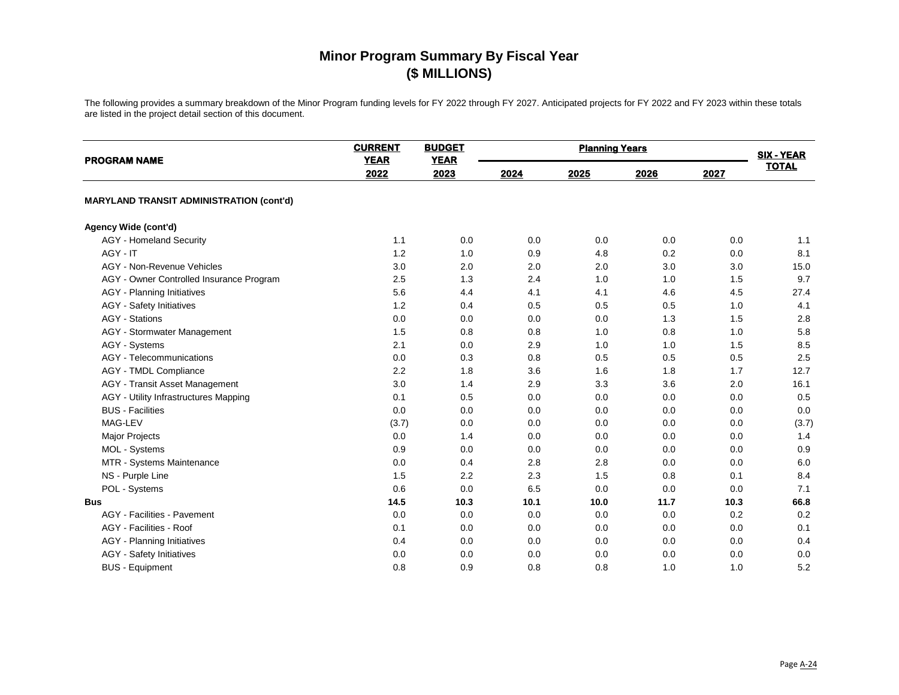| <b>PROGRAM NAME</b>                             | <b>CURRENT</b><br><b>YEAR</b> | <b>BUDGET</b><br><b>YEAR</b> | <b>Planning Years</b> |      |      |      | <b>SIX - YEAR</b> |
|-------------------------------------------------|-------------------------------|------------------------------|-----------------------|------|------|------|-------------------|
|                                                 | 2022                          | 2023                         | 2024                  | 2025 | 2026 | 2027 | <b>TOTAL</b>      |
| <b>MARYLAND TRANSIT ADMINISTRATION (cont'd)</b> |                               |                              |                       |      |      |      |                   |
| Agency Wide (cont'd)                            |                               |                              |                       |      |      |      |                   |
| <b>AGY</b> - Homeland Security                  | 1.1                           | 0.0                          | 0.0                   | 0.0  | 0.0  | 0.0  | 1.1               |
| AGY - IT                                        | 1.2                           | 1.0                          | 0.9                   | 4.8  | 0.2  | 0.0  | 8.1               |
| AGY - Non-Revenue Vehicles                      | 3.0                           | 2.0                          | 2.0                   | 2.0  | 3.0  | 3.0  | 15.0              |
| AGY - Owner Controlled Insurance Program        | 2.5                           | 1.3                          | 2.4                   | 1.0  | 1.0  | 1.5  | 9.7               |
| <b>AGY</b> - Planning Initiatives               | 5.6                           | 4.4                          | 4.1                   | 4.1  | 4.6  | 4.5  | 27.4              |
| <b>AGY</b> - Safety Initiatives                 | 1.2                           | 0.4                          | 0.5                   | 0.5  | 0.5  | 1.0  | 4.1               |
| <b>AGY</b> - Stations                           | 0.0                           | 0.0                          | 0.0                   | 0.0  | 1.3  | 1.5  | 2.8               |
| <b>AGY</b> - Stormwater Management              | 1.5                           | 0.8                          | 0.8                   | 1.0  | 0.8  | 1.0  | 5.8               |
| AGY - Systems                                   | 2.1                           | 0.0                          | 2.9                   | 1.0  | 1.0  | 1.5  | 8.5               |
| AGY - Telecommunications                        | 0.0                           | 0.3                          | 0.8                   | 0.5  | 0.5  | 0.5  | 2.5               |
| <b>AGY - TMDL Compliance</b>                    | 2.2                           | 1.8                          | 3.6                   | 1.6  | 1.8  | 1.7  | 12.7              |
| AGY - Transit Asset Management                  | 3.0                           | 1.4                          | 2.9                   | 3.3  | 3.6  | 2.0  | 16.1              |
| AGY - Utility Infrastructures Mapping           | 0.1                           | 0.5                          | 0.0                   | 0.0  | 0.0  | 0.0  | 0.5               |
| <b>BUS</b> - Facilities                         | 0.0                           | 0.0                          | 0.0                   | 0.0  | 0.0  | 0.0  | 0.0               |
| MAG-LEV                                         | (3.7)                         | 0.0                          | 0.0                   | 0.0  | 0.0  | 0.0  | (3.7)             |
| <b>Major Projects</b>                           | 0.0                           | 1.4                          | 0.0                   | 0.0  | 0.0  | 0.0  | 1.4               |
| MOL - Systems                                   | 0.9                           | 0.0                          | 0.0                   | 0.0  | 0.0  | 0.0  | 0.9               |
| MTR - Systems Maintenance                       | 0.0                           | 0.4                          | 2.8                   | 2.8  | 0.0  | 0.0  | 6.0               |
| NS - Purple Line                                | 1.5                           | 2.2                          | 2.3                   | 1.5  | 0.8  | 0.1  | 8.4               |
| POL - Systems                                   | 0.6                           | 0.0                          | 6.5                   | 0.0  | 0.0  | 0.0  | 7.1               |
| <b>Bus</b>                                      | 14.5                          | 10.3                         | 10.1                  | 10.0 | 11.7 | 10.3 | 66.8              |
| AGY - Facilities - Pavement                     | 0.0                           | 0.0                          | 0.0                   | 0.0  | 0.0  | 0.2  | 0.2               |
| AGY - Facilities - Roof                         | 0.1                           | 0.0                          | 0.0                   | 0.0  | 0.0  | 0.0  | 0.1               |
| <b>AGY</b> - Planning Initiatives               | 0.4                           | 0.0                          | 0.0                   | 0.0  | 0.0  | 0.0  | 0.4               |
| <b>AGY</b> - Safety Initiatives                 | 0.0                           | 0.0                          | 0.0                   | 0.0  | 0.0  | 0.0  | 0.0               |
| <b>BUS</b> - Equipment                          | 0.8                           | 0.9                          | 0.8                   | 0.8  | 1.0  | 1.0  | 5.2               |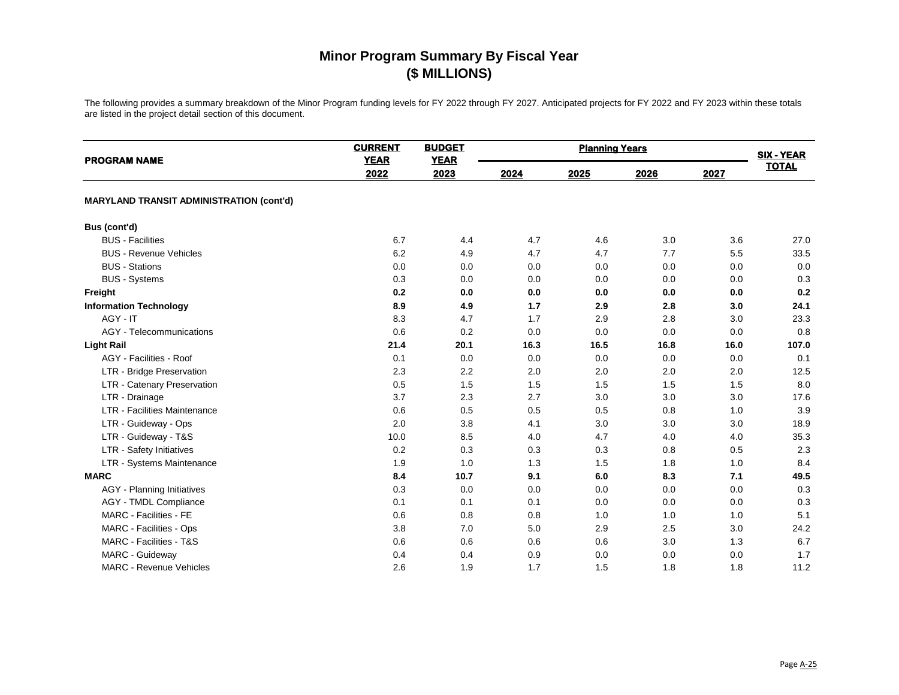| <b>PROGRAM NAME</b>                             | <b>CURRENT</b><br><b>YEAR</b> | <b>BUDGET</b><br><b>YEAR</b> |      | <b>SIX - YEAR</b> |      |      |              |
|-------------------------------------------------|-------------------------------|------------------------------|------|-------------------|------|------|--------------|
|                                                 | 2022                          | 2023                         | 2024 | 2025              | 2026 | 2027 | <b>TOTAL</b> |
| <b>MARYLAND TRANSIT ADMINISTRATION (cont'd)</b> |                               |                              |      |                   |      |      |              |
| Bus (cont'd)                                    |                               |                              |      |                   |      |      |              |
| <b>BUS</b> - Facilities                         | 6.7                           | 4.4                          | 4.7  | 4.6               | 3.0  | 3.6  | 27.0         |
| <b>BUS - Revenue Vehicles</b>                   | 6.2                           | 4.9                          | 4.7  | 4.7               | 7.7  | 5.5  | 33.5         |
| <b>BUS</b> - Stations                           | 0.0                           | 0.0                          | 0.0  | 0.0               | 0.0  | 0.0  | 0.0          |
| <b>BUS - Systems</b>                            | 0.3                           | 0.0                          | 0.0  | 0.0               | 0.0  | 0.0  | 0.3          |
| Freight                                         | 0.2                           | 0.0                          | 0.0  | 0.0               | 0.0  | 0.0  | 0.2          |
| <b>Information Technology</b>                   | 8.9                           | 4.9                          | 1.7  | 2.9               | 2.8  | 3.0  | 24.1         |
| AGY - IT                                        | 8.3                           | 4.7                          | 1.7  | 2.9               | 2.8  | 3.0  | 23.3         |
| AGY - Telecommunications                        | 0.6                           | 0.2                          | 0.0  | 0.0               | 0.0  | 0.0  | 0.8          |
| <b>Light Rail</b>                               | 21.4                          | 20.1                         | 16.3 | 16.5              | 16.8 | 16.0 | 107.0        |
| AGY - Facilities - Roof                         | 0.1                           | 0.0                          | 0.0  | 0.0               | 0.0  | 0.0  | 0.1          |
| LTR - Bridge Preservation                       | 2.3                           | 2.2                          | 2.0  | 2.0               | 2.0  | 2.0  | 12.5         |
| LTR - Catenary Preservation                     | 0.5                           | 1.5                          | 1.5  | 1.5               | 1.5  | 1.5  | 8.0          |
| LTR - Drainage                                  | 3.7                           | 2.3                          | 2.7  | 3.0               | 3.0  | 3.0  | 17.6         |
| <b>LTR - Facilities Maintenance</b>             | 0.6                           | 0.5                          | 0.5  | 0.5               | 0.8  | 1.0  | 3.9          |
| LTR - Guideway - Ops                            | 2.0                           | 3.8                          | 4.1  | 3.0               | 3.0  | 3.0  | 18.9         |
| LTR - Guideway - T&S                            | 10.0                          | 8.5                          | 4.0  | 4.7               | 4.0  | 4.0  | 35.3         |
| LTR - Safety Initiatives                        | 0.2                           | 0.3                          | 0.3  | 0.3               | 0.8  | 0.5  | 2.3          |
| LTR - Systems Maintenance                       | 1.9                           | 1.0                          | 1.3  | 1.5               | 1.8  | 1.0  | 8.4          |
| <b>MARC</b>                                     | 8.4                           | 10.7                         | 9.1  | 6.0               | 8.3  | 7.1  | 49.5         |
| AGY - Planning Initiatives                      | 0.3                           | 0.0                          | 0.0  | 0.0               | 0.0  | 0.0  | 0.3          |
| <b>AGY - TMDL Compliance</b>                    | 0.1                           | 0.1                          | 0.1  | 0.0               | 0.0  | 0.0  | 0.3          |
| MARC - Facilities - FE                          | 0.6                           | 0.8                          | 0.8  | 1.0               | 1.0  | 1.0  | 5.1          |
| MARC - Facilities - Ops                         | 3.8                           | 7.0                          | 5.0  | 2.9               | 2.5  | 3.0  | 24.2         |
| MARC - Facilities - T&S                         | 0.6                           | 0.6                          | 0.6  | 0.6               | 3.0  | 1.3  | 6.7          |
| MARC - Guideway                                 | 0.4                           | 0.4                          | 0.9  | 0.0               | 0.0  | 0.0  | 1.7          |
| <b>MARC - Revenue Vehicles</b>                  | 2.6                           | 1.9                          | 1.7  | 1.5               | 1.8  | 1.8  | 11.2         |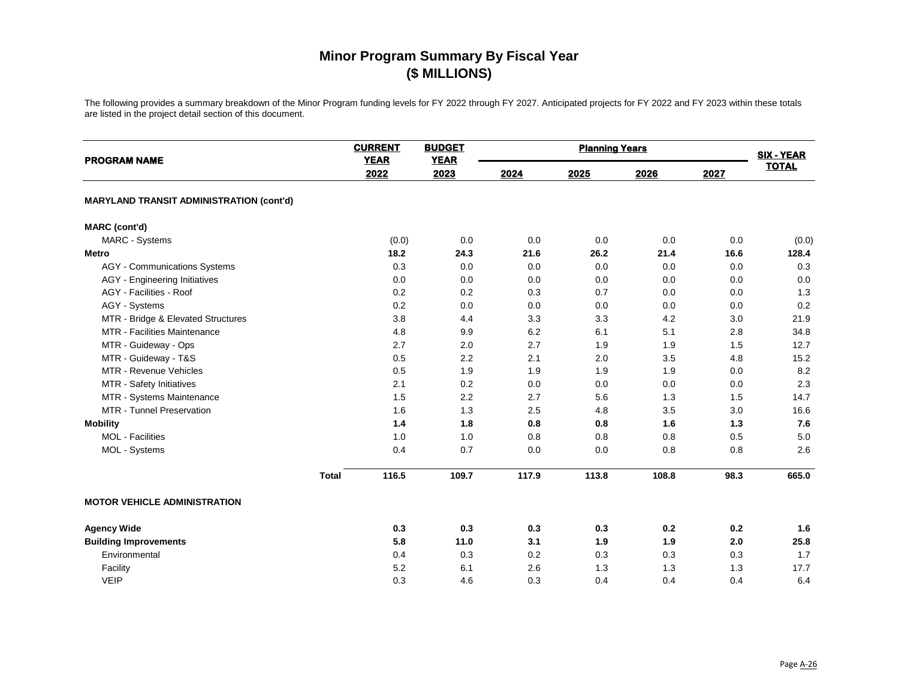| <b>PROGRAM NAME</b>                             | <b>CURRENT</b><br><b>YEAR</b> | <b>BUDGET</b><br><b>YEAR</b> |       | <b>Planning Years</b> |       |      | <b>SIX - YEAR</b> |
|-------------------------------------------------|-------------------------------|------------------------------|-------|-----------------------|-------|------|-------------------|
|                                                 | 2022                          | 2023                         | 2024  | 2025                  | 2026  | 2027 | <b>TOTAL</b>      |
| <b>MARYLAND TRANSIT ADMINISTRATION (cont'd)</b> |                               |                              |       |                       |       |      |                   |
| <b>MARC</b> (cont'd)                            |                               |                              |       |                       |       |      |                   |
| MARC - Systems                                  | (0.0)                         | 0.0                          | 0.0   | 0.0                   | 0.0   | 0.0  | (0.0)             |
| <b>Metro</b>                                    | 18.2                          | 24.3                         | 21.6  | 26.2                  | 21.4  | 16.6 | 128.4             |
| <b>AGY</b> - Communications Systems             | 0.3                           | 0.0                          | 0.0   | 0.0                   | 0.0   | 0.0  | 0.3               |
| <b>AGY</b> - Engineering Initiatives            | 0.0                           | 0.0                          | 0.0   | 0.0                   | 0.0   | 0.0  | 0.0               |
| AGY - Facilities - Roof                         | 0.2                           | 0.2                          | 0.3   | 0.7                   | 0.0   | 0.0  | 1.3               |
| AGY - Systems                                   | 0.2                           | 0.0                          | 0.0   | 0.0                   | 0.0   | 0.0  | 0.2               |
| MTR - Bridge & Elevated Structures              | 3.8                           | 4.4                          | 3.3   | 3.3                   | 4.2   | 3.0  | 21.9              |
| <b>MTR - Facilities Maintenance</b>             | 4.8                           | 9.9                          | 6.2   | 6.1                   | 5.1   | 2.8  | 34.8              |
| MTR - Guideway - Ops                            | 2.7                           | 2.0                          | 2.7   | 1.9                   | 1.9   | 1.5  | 12.7              |
| MTR - Guideway - T&S                            | 0.5                           | 2.2                          | 2.1   | 2.0                   | 3.5   | 4.8  | 15.2              |
| MTR - Revenue Vehicles                          | 0.5                           | 1.9                          | 1.9   | 1.9                   | 1.9   | 0.0  | 8.2               |
| MTR - Safety Initiatives                        | 2.1                           | 0.2                          | 0.0   | 0.0                   | 0.0   | 0.0  | 2.3               |
| MTR - Systems Maintenance                       | 1.5                           | 2.2                          | 2.7   | 5.6                   | 1.3   | 1.5  | 14.7              |
| MTR - Tunnel Preservation                       | 1.6                           | 1.3                          | 2.5   | 4.8                   | 3.5   | 3.0  | 16.6              |
| <b>Mobility</b>                                 | 1.4                           | 1.8                          | 0.8   | 0.8                   | 1.6   | 1.3  | 7.6               |
| <b>MOL</b> - Facilities                         | 1.0                           | 1.0                          | 0.8   | 0.8                   | 0.8   | 0.5  | $5.0\,$           |
| MOL - Systems                                   | 0.4                           | 0.7                          | 0.0   | 0.0                   | 0.8   | 0.8  | 2.6               |
| <b>Total</b>                                    | 116.5                         | 109.7                        | 117.9 | 113.8                 | 108.8 | 98.3 | 665.0             |
| <b>MOTOR VEHICLE ADMINISTRATION</b>             |                               |                              |       |                       |       |      |                   |
| <b>Agency Wide</b>                              | 0.3                           | 0.3                          | 0.3   | 0.3                   | 0.2   | 0.2  | 1.6               |
| <b>Building Improvements</b>                    | 5.8                           | 11.0                         | 3.1   | 1.9                   | 1.9   | 2.0  | 25.8              |
| Environmental                                   | 0.4                           | 0.3                          | 0.2   | 0.3                   | 0.3   | 0.3  | 1.7               |
| Facility                                        | 5.2                           | 6.1                          | 2.6   | 1.3                   | 1.3   | 1.3  | 17.7              |
| <b>VEIP</b>                                     | 0.3                           | 4.6                          | 0.3   | 0.4                   | 0.4   | 0.4  | 6.4               |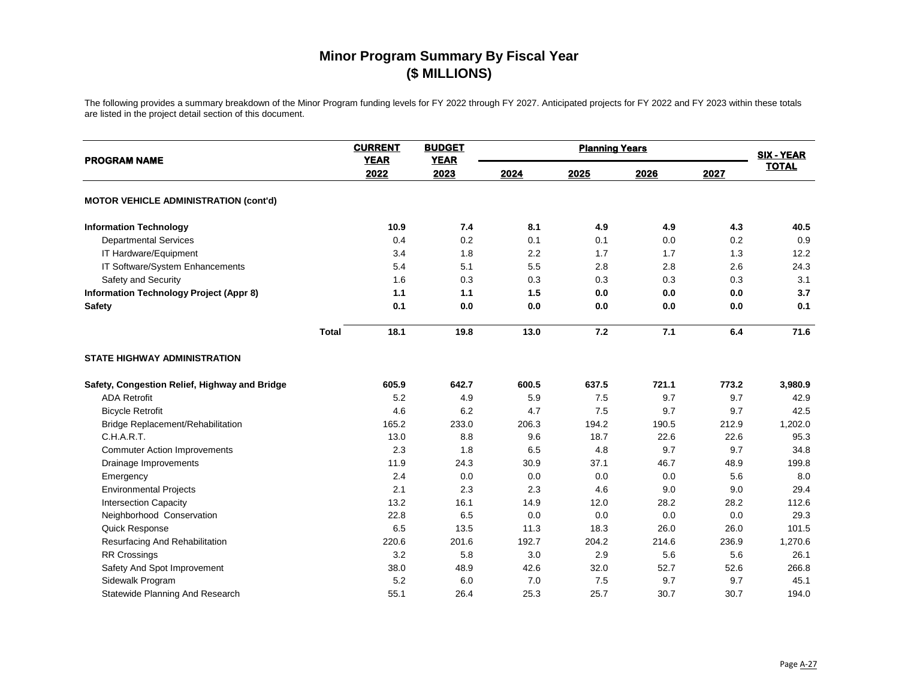| <b>PROGRAM NAME</b>                            | <b>CURRENT</b><br><b>YEAR</b> | <b>BUDGET</b><br><b>YEAR</b> | <b>Planning Years</b> |       |       |       | <b>SIX - YEAR</b> |
|------------------------------------------------|-------------------------------|------------------------------|-----------------------|-------|-------|-------|-------------------|
|                                                | 2022                          | 2023                         | 2024                  | 2025  | 2026  | 2027  | <b>TOTAL</b>      |
| <b>MOTOR VEHICLE ADMINISTRATION (cont'd)</b>   |                               |                              |                       |       |       |       |                   |
| <b>Information Technology</b>                  | 10.9                          | 7.4                          | 8.1                   | 4.9   | 4.9   | 4.3   | 40.5              |
| <b>Departmental Services</b>                   | 0.4                           | 0.2                          | 0.1                   | 0.1   | 0.0   | 0.2   | 0.9               |
| IT Hardware/Equipment                          | 3.4                           | 1.8                          | 2.2                   | 1.7   | 1.7   | 1.3   | 12.2              |
| IT Software/System Enhancements                | 5.4                           | 5.1                          | 5.5                   | 2.8   | 2.8   | 2.6   | 24.3              |
| Safety and Security                            | 1.6                           | 0.3                          | 0.3                   | 0.3   | 0.3   | 0.3   | 3.1               |
| <b>Information Technology Project (Appr 8)</b> | 1.1                           | 1.1                          | 1.5                   | 0.0   | 0.0   | 0.0   | 3.7               |
| Safety                                         | 0.1                           | 0.0                          | 0.0                   | 0.0   | 0.0   | 0.0   | 0.1               |
|                                                | 18.1<br><b>Total</b>          | 19.8                         | 13.0                  | 7.2   | 7.1   | 6.4   | 71.6              |
| <b>STATE HIGHWAY ADMINISTRATION</b>            |                               |                              |                       |       |       |       |                   |
| Safety, Congestion Relief, Highway and Bridge  | 605.9                         | 642.7                        | 600.5                 | 637.5 | 721.1 | 773.2 | 3,980.9           |
| <b>ADA Retrofit</b>                            | 5.2                           | 4.9                          | 5.9                   | 7.5   | 9.7   | 9.7   | 42.9              |
| <b>Bicycle Retrofit</b>                        | 4.6                           | 6.2                          | 4.7                   | 7.5   | 9.7   | 9.7   | 42.5              |
| Bridge Replacement/Rehabilitation              | 165.2                         | 233.0                        | 206.3                 | 194.2 | 190.5 | 212.9 | 1,202.0           |
| C.H.A.R.T.                                     | 13.0                          | 8.8                          | 9.6                   | 18.7  | 22.6  | 22.6  | 95.3              |
| <b>Commuter Action Improvements</b>            | 2.3                           | 1.8                          | 6.5                   | 4.8   | 9.7   | 9.7   | 34.8              |
| Drainage Improvements                          | 11.9                          | 24.3                         | 30.9                  | 37.1  | 46.7  | 48.9  | 199.8             |
| Emergency                                      | 2.4                           | 0.0                          | 0.0                   | 0.0   | 0.0   | 5.6   | 8.0               |
| <b>Environmental Projects</b>                  | 2.1                           | 2.3                          | 2.3                   | 4.6   | 9.0   | 9.0   | 29.4              |
| <b>Intersection Capacity</b>                   | 13.2                          | 16.1                         | 14.9                  | 12.0  | 28.2  | 28.2  | 112.6             |
| Neighborhood Conservation                      | 22.8                          | 6.5                          | 0.0                   | 0.0   | 0.0   | 0.0   | 29.3              |
| Quick Response                                 | 6.5                           | 13.5                         | 11.3                  | 18.3  | 26.0  | 26.0  | 101.5             |
| Resurfacing And Rehabilitation                 | 220.6                         | 201.6                        | 192.7                 | 204.2 | 214.6 | 236.9 | 1,270.6           |
| <b>RR Crossings</b>                            | 3.2                           | 5.8                          | 3.0                   | 2.9   | 5.6   | 5.6   | 26.1              |
| Safety And Spot Improvement                    | 38.0                          | 48.9                         | 42.6                  | 32.0  | 52.7  | 52.6  | 266.8             |
| Sidewalk Program                               | 5.2                           | 6.0                          | 7.0                   | 7.5   | 9.7   | 9.7   | 45.1              |
| Statewide Planning And Research                | 55.1                          | 26.4                         | 25.3                  | 25.7  | 30.7  | 30.7  | 194.0             |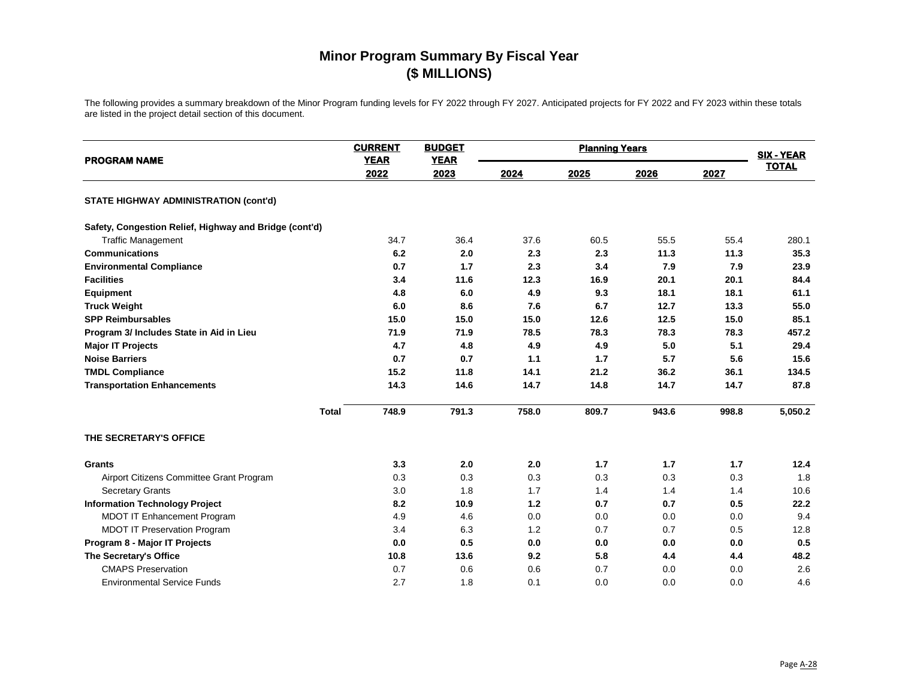| <b>PROGRAM NAME</b>                                    | <b>CURRENT</b><br><b>YEAR</b> | <b>BUDGET</b><br><b>YEAR</b> |       | <b>Planning Years</b> |       |       | <b>SIX - YEAR</b> |
|--------------------------------------------------------|-------------------------------|------------------------------|-------|-----------------------|-------|-------|-------------------|
|                                                        | 2022                          | 2023                         | 2024  | 2025                  | 2026  | 2027  | <b>TOTAL</b>      |
| <b>STATE HIGHWAY ADMINISTRATION (cont'd)</b>           |                               |                              |       |                       |       |       |                   |
| Safety, Congestion Relief, Highway and Bridge (cont'd) |                               |                              |       |                       |       |       |                   |
| <b>Traffic Management</b>                              | 34.7                          | 36.4                         | 37.6  | 60.5                  | 55.5  | 55.4  | 280.1             |
| <b>Communications</b>                                  | 6.2                           | 2.0                          | 2.3   | 2.3                   | 11.3  | 11.3  | 35.3              |
| <b>Environmental Compliance</b>                        | 0.7                           | 1.7                          | 2.3   | 3.4                   | 7.9   | 7.9   | 23.9              |
| <b>Facilities</b>                                      | 3.4                           | 11.6                         | 12.3  | 16.9                  | 20.1  | 20.1  | 84.4              |
| <b>Equipment</b>                                       | 4.8                           | 6.0                          | 4.9   | 9.3                   | 18.1  | 18.1  | 61.1              |
| <b>Truck Weight</b>                                    | 6.0                           | 8.6                          | 7.6   | 6.7                   | 12.7  | 13.3  | 55.0              |
| <b>SPP Reimbursables</b>                               | 15.0                          | 15.0                         | 15.0  | 12.6                  | 12.5  | 15.0  | 85.1              |
| Program 3/ Includes State in Aid in Lieu               | 71.9                          | 71.9                         | 78.5  | 78.3                  | 78.3  | 78.3  | 457.2             |
| <b>Major IT Projects</b>                               | 4.7                           | 4.8                          | 4.9   | 4.9                   | 5.0   | 5.1   | 29.4              |
| <b>Noise Barriers</b>                                  | 0.7                           | 0.7                          | 1.1   | 1.7                   | 5.7   | 5.6   | 15.6              |
| <b>TMDL Compliance</b>                                 | 15.2                          | 11.8                         | 14.1  | 21.2                  | 36.2  | 36.1  | 134.5             |
| <b>Transportation Enhancements</b>                     | 14.3                          | 14.6                         | 14.7  | 14.8                  | 14.7  | 14.7  | 87.8              |
| <b>Total</b>                                           | 748.9                         | 791.3                        | 758.0 | 809.7                 | 943.6 | 998.8 | 5,050.2           |
| THE SECRETARY'S OFFICE                                 |                               |                              |       |                       |       |       |                   |
| Grants                                                 | 3.3                           | 2.0                          | 2.0   | 1.7                   | 1.7   | 1.7   | 12.4              |
| Airport Citizens Committee Grant Program               | 0.3                           | 0.3                          | 0.3   | 0.3                   | 0.3   | 0.3   | 1.8               |
| <b>Secretary Grants</b>                                | 3.0                           | 1.8                          | 1.7   | 1.4                   | 1.4   | 1.4   | 10.6              |
| <b>Information Technology Project</b>                  | 8.2                           | 10.9                         | $1.2$ | 0.7                   | 0.7   | 0.5   | 22.2              |
| MDOT IT Enhancement Program                            | 4.9                           | 4.6                          | 0.0   | 0.0                   | 0.0   | 0.0   | 9.4               |
| <b>MDOT IT Preservation Program</b>                    | 3.4                           | 6.3                          | 1.2   | 0.7                   | 0.7   | 0.5   | 12.8              |
| Program 8 - Major IT Projects                          | 0.0                           | 0.5                          | 0.0   | 0.0                   | 0.0   | 0.0   | 0.5               |
| The Secretary's Office                                 | 10.8                          | 13.6                         | 9.2   | 5.8                   | 4.4   | 4.4   | 48.2              |
| <b>CMAPS Preservation</b>                              | 0.7                           | 0.6                          | 0.6   | 0.7                   | 0.0   | 0.0   | 2.6               |
| <b>Environmental Service Funds</b>                     | 2.7                           | 1.8                          | 0.1   | 0.0                   | 0.0   | 0.0   | 4.6               |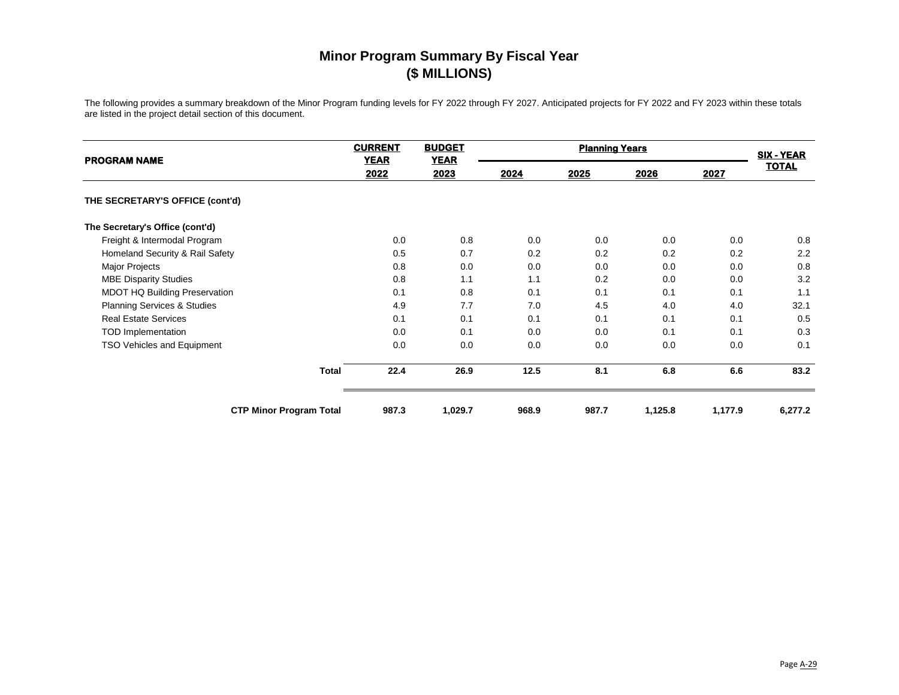| <b>PROGRAM NAME</b>               | <b>CURRENT</b><br><b>YEAR</b> | <b>BUDGET</b><br><b>YEAR</b> | <b>Planning Years</b> |       |         |         | <b>SIX - YEAR</b> |
|-----------------------------------|-------------------------------|------------------------------|-----------------------|-------|---------|---------|-------------------|
|                                   | 2022                          | 2023                         | 2024                  | 2025  | 2026    | 2027    | <b>TOTAL</b>      |
| THE SECRETARY'S OFFICE (cont'd)   |                               |                              |                       |       |         |         |                   |
| The Secretary's Office (cont'd)   |                               |                              |                       |       |         |         |                   |
| Freight & Intermodal Program      | 0.0                           | 0.8                          | 0.0                   | 0.0   | 0.0     | 0.0     | 0.8               |
| Homeland Security & Rail Safety   | 0.5                           | 0.7                          | 0.2                   | 0.2   | 0.2     | 0.2     | 2.2               |
| <b>Major Projects</b>             | 0.8                           | 0.0                          | 0.0                   | 0.0   | 0.0     | 0.0     | 0.8               |
| <b>MBE Disparity Studies</b>      | 0.8                           | 1.1                          | 1.1                   | 0.2   | 0.0     | 0.0     | 3.2               |
| MDOT HQ Building Preservation     | 0.1                           | 0.8                          | 0.1                   | 0.1   | 0.1     | 0.1     | 1.1               |
| Planning Services & Studies       | 4.9                           | 7.7                          | 7.0                   | 4.5   | 4.0     | 4.0     | 32.1              |
| <b>Real Estate Services</b>       | 0.1                           | 0.1                          | 0.1                   | 0.1   | 0.1     | 0.1     | 0.5               |
| <b>TOD Implementation</b>         | 0.0                           | 0.1                          | 0.0                   | 0.0   | 0.1     | 0.1     | 0.3               |
| <b>TSO Vehicles and Equipment</b> | 0.0                           | 0.0                          | 0.0                   | 0.0   | 0.0     | 0.0     | 0.1               |
| <b>Total</b>                      | 22.4                          | 26.9                         | 12.5                  | 8.1   | 6.8     | 6.6     | 83.2              |
| <b>CTP Minor Program Total</b>    | 987.3                         | 1,029.7                      | 968.9                 | 987.7 | 1,125.8 | 1,177.9 | 6,277.2           |